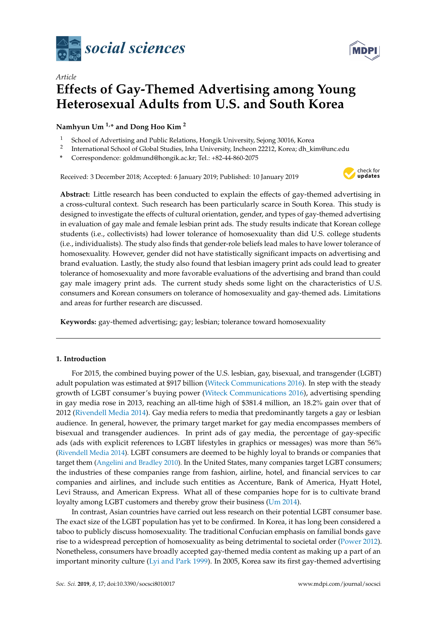

# *Article* **Effects of Gay-Themed Advertising among Young Heterosexual Adults from U.S. and South Korea**

**Namhyun Um 1,\* and Dong Hoo Kim <sup>2</sup>**

- <sup>1</sup> School of Advertising and Public Relations, Hongik University, Sejong 30016, Korea
- 2 International School of Global Studies, Inha University, Incheon 22212, Korea; dh\_kim@unc.edu
- **\*** Correspondence: goldmund@hongik.ac.kr; Tel.: +82-44-860-2075

Received: 3 December 2018; Accepted: 6 January 2019; Published: 10 January 2019



**Abstract:** Little research has been conducted to explain the effects of gay-themed advertising in a cross-cultural context. Such research has been particularly scarce in South Korea. This study is designed to investigate the effects of cultural orientation, gender, and types of gay-themed advertising in evaluation of gay male and female lesbian print ads. The study results indicate that Korean college students (i.e., collectivists) had lower tolerance of homosexuality than did U.S. college students (i.e., individualists). The study also finds that gender-role beliefs lead males to have lower tolerance of homosexuality. However, gender did not have statistically significant impacts on advertising and brand evaluation. Lastly, the study also found that lesbian imagery print ads could lead to greater tolerance of homosexuality and more favorable evaluations of the advertising and brand than could gay male imagery print ads. The current study sheds some light on the characteristics of U.S. consumers and Korean consumers on tolerance of homosexuality and gay-themed ads. Limitations and areas for further research are discussed.

**Keywords:** gay-themed advertising; gay; lesbian; tolerance toward homosexuality

## **1. Introduction**

For 2015, the combined buying power of the U.S. lesbian, gay, bisexual, and transgender (LGBT) adult population was estimated at \$917 billion [\(Witeck Communications](#page-12-0) [2016\)](#page-12-0). In step with the steady growth of LGBT consumer's buying power [\(Witeck Communications](#page-12-0) [2016\)](#page-12-0), advertising spending in gay media rose in 2013, reaching an all-time high of \$381.4 million, an 18.2% gain over that of 2012 [\(Rivendell Media](#page-12-1) [2014\)](#page-12-1). Gay media refers to media that predominantly targets a gay or lesbian audience. In general, however, the primary target market for gay media encompasses members of bisexual and transgender audiences. In print ads of gay media, the percentage of gay-specific ads (ads with explicit references to LGBT lifestyles in graphics or messages) was more than 56% [\(Rivendell Media](#page-12-1) [2014\)](#page-12-1). LGBT consumers are deemed to be highly loyal to brands or companies that target them [\(Angelini and Bradley](#page-11-0) [2010\)](#page-11-0). In the United States, many companies target LGBT consumers; the industries of these companies range from fashion, airline, hotel, and financial services to car companies and airlines, and include such entities as Accenture, Bank of America, Hyatt Hotel, Levi Strauss, and American Express. What all of these companies hope for is to cultivate brand loyalty among LGBT customers and thereby grow their business [\(Um](#page-12-2) [2014\)](#page-12-2).

In contrast, Asian countries have carried out less research on their potential LGBT consumer base. The exact size of the LGBT population has yet to be confirmed. In Korea, it has long been considered a taboo to publicly discuss homosexuality. The traditional Confucian emphasis on familial bonds gave rise to a widespread perception of homosexuality as being detrimental to societal order [\(Power](#page-12-3) [2012\)](#page-12-3). Nonetheless, consumers have broadly accepted gay-themed media content as making up a part of an important minority culture [\(Lyi and Park](#page-12-4) [1999\)](#page-12-4). In 2005, Korea saw its first gay-themed advertising

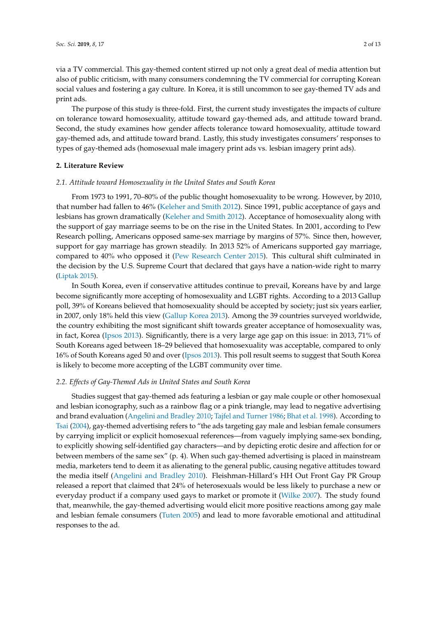via a TV commercial. This gay-themed content stirred up not only a great deal of media attention but also of public criticism, with many consumers condemning the TV commercial for corrupting Korean social values and fostering a gay culture. In Korea, it is still uncommon to see gay-themed TV ads and print ads.

The purpose of this study is three-fold. First, the current study investigates the impacts of culture on tolerance toward homosexuality, attitude toward gay-themed ads, and attitude toward brand. Second, the study examines how gender affects tolerance toward homosexuality, attitude toward gay-themed ads, and attitude toward brand. Lastly, this study investigates consumers' responses to types of gay-themed ads (homosexual male imagery print ads vs. lesbian imagery print ads).

#### **2. Literature Review**

#### *2.1. Attitude toward Homosexuality in the United States and South Korea*

From 1973 to 1991, 70–80% of the public thought homosexuality to be wrong. However, by 2010, that number had fallen to 46% [\(Keleher and Smith](#page-11-1) [2012\)](#page-11-1). Since 1991, public acceptance of gays and lesbians has grown dramatically [\(Keleher and Smith](#page-11-1) [2012\)](#page-11-1). Acceptance of homosexuality along with the support of gay marriage seems to be on the rise in the United States. In 2001, according to Pew Research polling, Americans opposed same-sex marriage by margins of 57%. Since then, however, support for gay marriage has grown steadily. In 2013 52% of Americans supported gay marriage, compared to 40% who opposed it [\(Pew Research Center](#page-12-5) [2015\)](#page-12-5). This cultural shift culminated in the decision by the U.S. Supreme Court that declared that gays have a nation-wide right to marry [\(Liptak](#page-11-2) [2015\)](#page-11-2).

In South Korea, even if conservative attitudes continue to prevail, Koreans have by and large become significantly more accepting of homosexuality and LGBT rights. According to a 2013 Gallup poll, 39% of Koreans believed that homosexuality should be accepted by society; just six years earlier, in 2007, only 18% held this view [\(Gallup Korea](#page-11-3) [2013\)](#page-11-3). Among the 39 countries surveyed worldwide, the country exhibiting the most significant shift towards greater acceptance of homosexuality was, in fact, Korea [\(Ipsos](#page-11-4) [2013\)](#page-11-4). Significantly, there is a very large age gap on this issue: in 2013, 71% of South Koreans aged between 18–29 believed that homosexuality was acceptable, compared to only 16% of South Koreans aged 50 and over [\(Ipsos](#page-11-4) [2013\)](#page-11-4). This poll result seems to suggest that South Korea is likely to become more accepting of the LGBT community over time.

#### *2.2. Effects of Gay-Themed Ads in United States and South Korea*

Studies suggest that gay-themed ads featuring a lesbian or gay male couple or other homosexual and lesbian iconography, such as a rainbow flag or a pink triangle, may lead to negative advertising and brand evaluation [\(Angelini and Bradley](#page-11-0) [2010;](#page-11-0) [Tajfel and Turner](#page-12-6) [1986;](#page-12-6) [Bhat et al.](#page-11-5) [1998\)](#page-11-5). According to [Tsai](#page-12-7) [\(2004\)](#page-12-7), gay-themed advertising refers to "the ads targeting gay male and lesbian female consumers by carrying implicit or explicit homosexual references—from vaguely implying same-sex bonding, to explicitly showing self-identified gay characters—and by depicting erotic desire and affection for or between members of the same sex" (p. 4). When such gay-themed advertising is placed in mainstream media, marketers tend to deem it as alienating to the general public, causing negative attitudes toward the media itself [\(Angelini and Bradley](#page-11-0) [2010\)](#page-11-0). Fleishman-Hillard's HH Out Front Gay PR Group released a report that claimed that 24% of heterosexuals would be less likely to purchase a new or everyday product if a company used gays to market or promote it [\(Wilke](#page-12-8) [2007\)](#page-12-8). The study found that, meanwhile, the gay-themed advertising would elicit more positive reactions among gay male and lesbian female consumers [\(Tuten](#page-12-9) [2005\)](#page-12-9) and lead to more favorable emotional and attitudinal responses to the ad.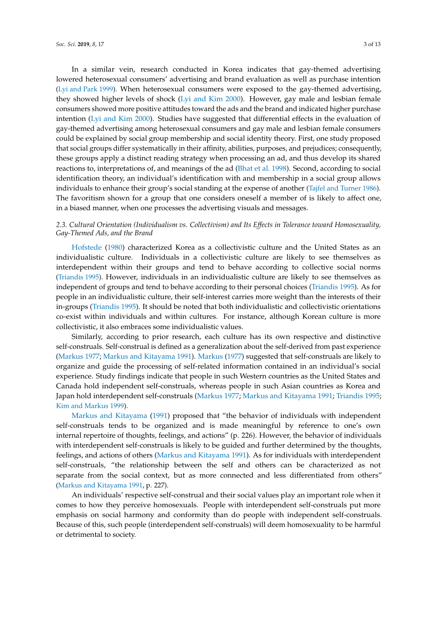In a similar vein, research conducted in Korea indicates that gay-themed advertising lowered heterosexual consumers' advertising and brand evaluation as well as purchase intention [\(Lyi and Park](#page-12-4) [1999\)](#page-12-4). When heterosexual consumers were exposed to the gay-themed advertising, they showed higher levels of shock [\(Lyi and Kim](#page-12-10) [2000\)](#page-12-10). However, gay male and lesbian female consumers showed more positive attitudes toward the ads and the brand and indicated higher purchase intention [\(Lyi and Kim](#page-12-10) [2000\)](#page-12-10). Studies have suggested that differential effects in the evaluation of gay-themed advertising among heterosexual consumers and gay male and lesbian female consumers could be explained by social group membership and social identity theory. First, one study proposed that social groups differ systematically in their affinity, abilities, purposes, and prejudices; consequently, these groups apply a distinct reading strategy when processing an ad, and thus develop its shared reactions to, interpretations of, and meanings of the ad [\(Bhat et al.](#page-11-5) [1998\)](#page-11-5). Second, according to social identification theory, an individual's identification with and membership in a social group allows individuals to enhance their group's social standing at the expense of another [\(Tajfel and Turner](#page-12-6) [1986\)](#page-12-6). The favoritism shown for a group that one considers oneself a member of is likely to affect one, in a biased manner, when one processes the advertising visuals and messages.

## *2.3. Cultural Orientation (Individualism vs. Collectivism) and Its Effects in Tolerance toward Homosexuality, Gay-Themed Ads, and the Brand*

[Hofstede](#page-11-6) [\(1980\)](#page-11-6) characterized Korea as a collectivistic culture and the United States as an individualistic culture. Individuals in a collectivistic culture are likely to see themselves as interdependent within their groups and tend to behave according to collective social norms [\(Triandis](#page-12-11) [1995\)](#page-12-11). However, individuals in an individualistic culture are likely to see themselves as independent of groups and tend to behave according to their personal choices [\(Triandis](#page-12-11) [1995\)](#page-12-11). As for people in an individualistic culture, their self-interest carries more weight than the interests of their in-groups [\(Triandis](#page-12-11) [1995\)](#page-12-11). It should be noted that both individualistic and collectivistic orientations co-exist within individuals and within cultures. For instance, although Korean culture is more collectivistic, it also embraces some individualistic values.

Similarly, according to prior research, each culture has its own respective and distinctive self-construals. Self-construal is defined as a generalization about the self-derived from past experience [\(Markus](#page-12-12) [1977;](#page-12-12) [Markus and Kitayama](#page-12-13) [1991\)](#page-12-13). [Markus](#page-12-12) [\(1977\)](#page-12-12) suggested that self-construals are likely to organize and guide the processing of self-related information contained in an individual's social experience. Study findings indicate that people in such Western countries as the United States and Canada hold independent self-construals, whereas people in such Asian countries as Korea and Japan hold interdependent self-construals [\(Markus](#page-12-12) [1977;](#page-12-12) [Markus and Kitayama](#page-12-13) [1991;](#page-12-13) [Triandis](#page-12-11) [1995;](#page-12-11) [Kim and Markus](#page-11-7) [1999\)](#page-11-7).

[Markus and Kitayama](#page-12-13) [\(1991\)](#page-12-13) proposed that "the behavior of individuals with independent self-construals tends to be organized and is made meaningful by reference to one's own internal repertoire of thoughts, feelings, and actions" (p. 226). However, the behavior of individuals with interdependent self-construals is likely to be guided and further determined by the thoughts, feelings, and actions of others [\(Markus and Kitayama](#page-12-13) [1991\)](#page-12-13). As for individuals with interdependent self-construals, "the relationship between the self and others can be characterized as not separate from the social context, but as more connected and less differentiated from others" [\(Markus and Kitayama](#page-12-13) [1991,](#page-12-13) p. 227).

An individuals' respective self-construal and their social values play an important role when it comes to how they perceive homosexuals. People with interdependent self-construals put more emphasis on social harmony and conformity than do people with independent self-construals. Because of this, such people (interdependent self-construals) will deem homosexuality to be harmful or detrimental to society.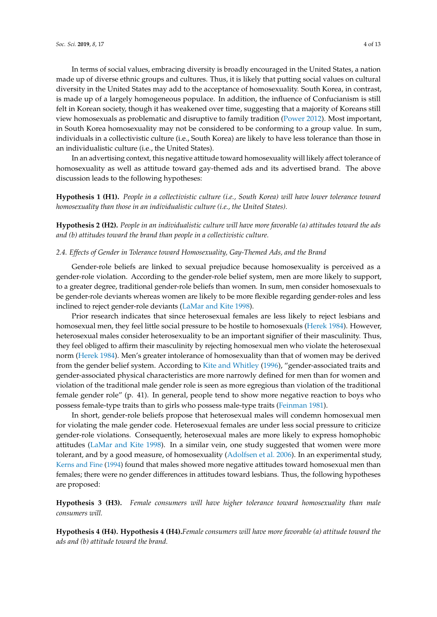In terms of social values, embracing diversity is broadly encouraged in the United States, a nation made up of diverse ethnic groups and cultures. Thus, it is likely that putting social values on cultural diversity in the United States may add to the acceptance of homosexuality. South Korea, in contrast, is made up of a largely homogeneous populace. In addition, the influence of Confucianism is still felt in Korean society, though it has weakened over time, suggesting that a majority of Koreans still view homosexuals as problematic and disruptive to family tradition [\(Power](#page-12-3) [2012\)](#page-12-3). Most important, in South Korea homosexuality may not be considered to be conforming to a group value. In sum, individuals in a collectivistic culture (i.e., South Korea) are likely to have less tolerance than those in an individualistic culture (i.e., the United States).

In an advertising context, this negative attitude toward homosexuality will likely affect tolerance of homosexuality as well as attitude toward gay-themed ads and its advertised brand. The above discussion leads to the following hypotheses:

**Hypothesis 1 (H1).** *People in a collectivistic culture (i.e., South Korea) will have lower tolerance toward homosexuality than those in an individualistic culture (i.e., the United States).*

**Hypothesis 2 (H2).** *People in an individualistic culture will have more favorable (a) attitudes toward the ads and (b) attitudes toward the brand than people in a collectivistic culture.*

#### *2.4. Effects of Gender in Tolerance toward Homosexuality, Gay-Themed Ads, and the Brand*

Gender-role beliefs are linked to sexual prejudice because homosexuality is perceived as a gender-role violation. According to the gender-role belief system, men are more likely to support, to a greater degree, traditional gender-role beliefs than women. In sum, men consider homosexuals to be gender-role deviants whereas women are likely to be more flexible regarding gender-roles and less inclined to reject gender-role deviants [\(LaMar and Kite](#page-11-8) [1998\)](#page-11-8).

Prior research indicates that since heterosexual females are less likely to reject lesbians and homosexual men, they feel little social pressure to be hostile to homosexuals [\(Herek](#page-11-9) [1984\)](#page-11-9). However, heterosexual males consider heterosexuality to be an important signifier of their masculinity. Thus, they feel obliged to affirm their masculinity by rejecting homosexual men who violate the heterosexual norm [\(Herek](#page-11-9) [1984\)](#page-11-9). Men's greater intolerance of homosexuality than that of women may be derived from the gender belief system. According to [Kite and Whitley](#page-11-10) [\(1996\)](#page-11-10), "gender-associated traits and gender-associated physical characteristics are more narrowly defined for men than for women and violation of the traditional male gender role is seen as more egregious than violation of the traditional female gender role" (p. 41). In general, people tend to show more negative reaction to boys who possess female-type traits than to girls who possess male-type traits [\(Feinman](#page-11-11) [1981\)](#page-11-11).

In short, gender-role beliefs propose that heterosexual males will condemn homosexual men for violating the male gender code. Heterosexual females are under less social pressure to criticize gender-role violations. Consequently, heterosexual males are more likely to express homophobic attitudes [\(LaMar and Kite](#page-11-8) [1998\)](#page-11-8). In a similar vein, one study suggested that women were more tolerant, and by a good measure, of homosexuality [\(Adolfsen et al.](#page-11-12) [2006\)](#page-11-12). In an experimental study, [Kerns and Fine](#page-11-13) [\(1994\)](#page-11-13) found that males showed more negative attitudes toward homosexual men than females; there were no gender differences in attitudes toward lesbians. Thus, the following hypotheses are proposed:

**Hypothesis 3 (H3).** *Female consumers will have higher tolerance toward homosexuality than male consumers will.*

**Hypothesis 4 (H4). Hypothesis 4 (H4).***Female consumers will have more favorable (a) attitude toward the ads and (b) attitude toward the brand.*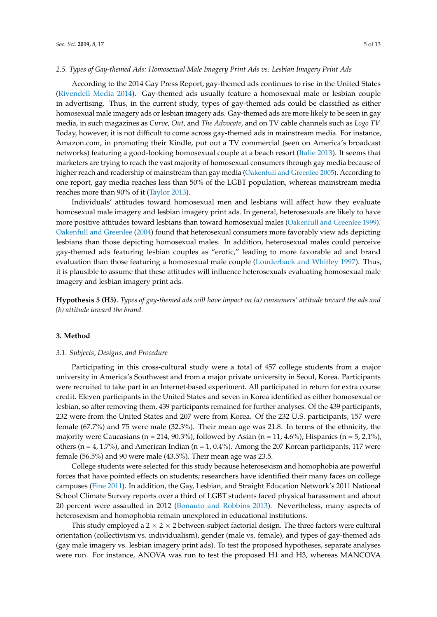#### *2.5. Types of Gay-themed Ads: Homosexual Male Imagery Print Ads vs. Lesbian Imagery Print Ads*

According to the 2014 Gay Press Report, gay-themed ads continues to rise in the United States [\(Rivendell Media](#page-12-1) [2014\)](#page-12-1). Gay-themed ads usually feature a homosexual male or lesbian couple in advertising. Thus, in the current study, types of gay-themed ads could be classified as either homosexual male imagery ads or lesbian imagery ads. Gay-themed ads are more likely to be seen in gay media, in such magazines as *Curve*, *Out*, and *The Advocate*, and on TV cable channels such as *Logo TV*. Today, however, it is not difficult to come across gay-themed ads in mainstream media. For instance, Amazon.com, in promoting their Kindle, put out a TV commercial (seen on America's broadcast networks) featuring a good-looking homosexual couple at a beach resort [\(Italie](#page-11-14) [2013\)](#page-11-14). It seems that marketers are trying to reach the vast majority of homosexual consumers through gay media because of higher reach and readership of mainstream than gay media [\(Oakenfull and Greenlee](#page-12-14) [2005\)](#page-12-14). According to one report, gay media reaches less than 50% of the LGBT population, whereas mainstream media reaches more than 90% of it [\(Taylor](#page-12-15) [2013\)](#page-12-15).

Individuals' attitudes toward homosexual men and lesbians will affect how they evaluate homosexual male imagery and lesbian imagery print ads. In general, heterosexuals are likely to have more positive attitudes toward lesbians than toward homosexual males [\(Oakenfull and Greenlee](#page-12-16) [1999\)](#page-12-16). [Oakenfull and Greenlee](#page-12-17) [\(2004\)](#page-12-17) found that heterosexual consumers more favorably view ads depicting lesbians than those depicting homosexual males. In addition, heterosexual males could perceive gay-themed ads featuring lesbian couples as "erotic," leading to more favorable ad and brand evaluation than those featuring a homosexual male couple [\(Louderback and Whitley](#page-12-18) [1997\)](#page-12-18). Thus, it is plausible to assume that these attitudes will influence heterosexuals evaluating homosexual male imagery and lesbian imagery print ads.

**Hypothesis 5 (H5).** *Types of gay-themed ads will have impact on (a) consumers' attitude toward the ads and (b) attitude toward the brand.*

#### **3. Method**

#### *3.1. Subjects, Designs, and Procedure*

Participating in this cross-cultural study were a total of 457 college students from a major university in America's Southwest and from a major private university in Seoul, Korea. Participants were recruited to take part in an Internet-based experiment. All participated in return for extra course credit. Eleven participants in the United States and seven in Korea identified as either homosexual or lesbian, so after removing them, 439 participants remained for further analyses. Of the 439 participants, 232 were from the United States and 207 were from Korea. Of the 232 U.S. participants, 157 were female (67.7%) and 75 were male (32.3%). Their mean age was 21.8. In terms of the ethnicity, the majority were Caucasians (n = 214, 90.3%), followed by Asian (n = 11, 4.6%), Hispanics (n = 5, 2.1%), others ( $n = 4, 1.7\%$ ), and American Indian ( $n = 1, 0.4\%$ ). Among the 207 Korean participants, 117 were female (56.5%) and 90 were male (43.5%). Their mean age was 23.5.

College students were selected for this study because heterosexism and homophobia are powerful forces that have pointed effects on students; researchers have identified their many faces on college campuses [\(Fine](#page-11-15) [2011\)](#page-11-15). In addition, the Gay, Lesbian, and Straight Education Network's 2011 National School Climate Survey reports over a third of LGBT students faced physical harassment and about 20 percent were assaulted in 2012 [\(Bonauto and Robbins](#page-11-16) [2013\)](#page-11-16). Nevertheless, many aspects of heterosexism and homophobia remain unexplored in educational institutions.

This study employed a  $2 \times 2 \times 2$  between-subject factorial design. The three factors were cultural orientation (collectivism vs. individualism), gender (male vs. female), and types of gay-themed ads (gay male imagery vs. lesbian imagery print ads). To test the proposed hypotheses, separate analyses were run. For instance, ANOVA was run to test the proposed H1 and H3, whereas MANCOVA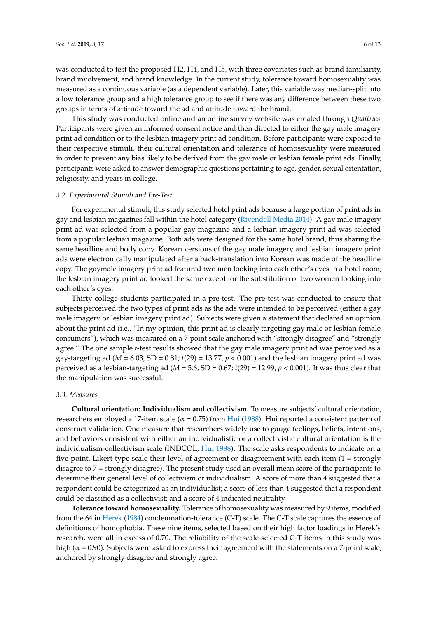was conducted to test the proposed H2, H4, and H5, with three covariates such as brand familiarity, brand involvement, and brand knowledge. In the current study, tolerance toward homosexuality was measured as a continuous variable (as a dependent variable). Later, this variable was median-split into a low tolerance group and a high tolerance group to see if there was any difference between these two groups in terms of attitude toward the ad and attitude toward the brand.

This study was conducted online and an online survey website was created through *Qualtrics*. Participants were given an informed consent notice and then directed to either the gay male imagery print ad condition or to the lesbian imagery print ad condition. Before participants were exposed to their respective stimuli, their cultural orientation and tolerance of homosexuality were measured in order to prevent any bias likely to be derived from the gay male or lesbian female print ads. Finally, participants were asked to answer demographic questions pertaining to age, gender, sexual orientation, religiosity, and years in college.

#### *3.2. Experimental Stimuli and Pre-Test*

For experimental stimuli, this study selected hotel print ads because a large portion of print ads in gay and lesbian magazines fall within the hotel category [\(Rivendell Media](#page-12-1) [2014\)](#page-12-1). A gay male imagery print ad was selected from a popular gay magazine and a lesbian imagery print ad was selected from a popular lesbian magazine. Both ads were designed for the same hotel brand, thus sharing the same headline and body copy. Korean versions of the gay male imagery and lesbian imagery print ads were electronically manipulated after a back-translation into Korean was made of the headline copy. The gaymale imagery print ad featured two men looking into each other's eyes in a hotel room; the lesbian imagery print ad looked the same except for the substitution of two women looking into each other's eyes.

Thirty college students participated in a pre-test. The pre-test was conducted to ensure that subjects perceived the two types of print ads as the ads were intended to be perceived (either a gay male imagery or lesbian imagery print ad). Subjects were given a statement that declared an opinion about the print ad (i.e., "In my opinion, this print ad is clearly targeting gay male or lesbian female consumers"), which was measured on a 7-point scale anchored with "strongly disagree" and "strongly agree." The one sample *t*-test results showed that the gay male imagery print ad was perceived as a gay-targeting ad ( $M = 6.03$ , SD = 0.81;  $t(29) = 13.77$ ,  $p < 0.001$ ) and the lesbian imagery print ad was perceived as a lesbian-targeting ad (*M* = 5.6, SD = 0.67; *t*(29) = 12.99, *p* < 0.001). It was thus clear that the manipulation was successful.

## *3.3. Measures*

**Cultural orientation: Individualism and collectivism.** To measure subjects' cultural orientation, researchers employed a 17-item scale ( $α = 0.75$ ) from [Hui](#page-11-17) [\(1988\)](#page-11-17). Hui reported a consistent pattern of construct validation. One measure that researchers widely use to gauge feelings, beliefs, intentions, and behaviors consistent with either an individualistic or a collectivistic cultural orientation is the individualism-collectivism scale (INDCOL; [Hui](#page-11-17) [1988\)](#page-11-17). The scale asks respondents to indicate on a five-point, Likert-type scale their level of agreement or disagreement with each item (1 = strongly disagree to 7 = strongly disagree). The present study used an overall mean score of the participants to determine their general level of collectivism or individualism. A score of more than 4 suggested that a respondent could be categorized as an individualist; a score of less than 4 suggested that a respondent could be classified as a collectivist; and a score of 4 indicated neutrality.

**Tolerance toward homosexuality.** Tolerance of homosexuality was measured by 9 items, modified from the 64 in [Herek](#page-11-9) [\(1984\)](#page-11-9) condemnation-tolerance (C-T) scale. The C-T scale captures the essence of definitions of homophobia. These nine items, selected based on their high factor loadings in Herek's research, were all in excess of 0.70. The reliability of the scale-selected C-T items in this study was high ( $\alpha$  = 0.90). Subjects were asked to express their agreement with the statements on a 7-point scale, anchored by strongly disagree and strongly agree.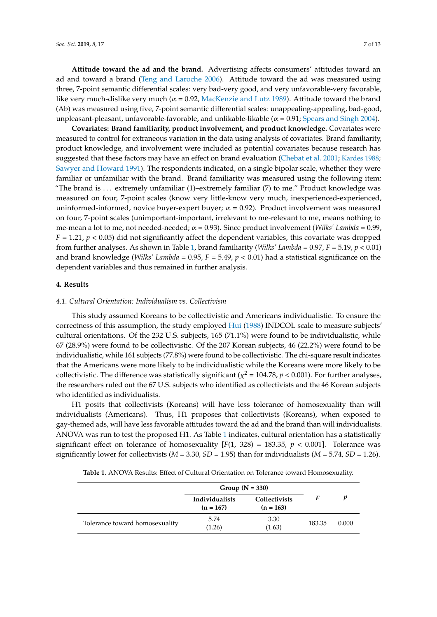**Attitude toward the ad and the brand.** Advertising affects consumers' attitudes toward an ad and toward a brand [\(Teng and Laroche](#page-12-19) [2006\)](#page-12-19). Attitude toward the ad was measured using three, 7-point semantic differential scales: very bad-very good, and very unfavorable-very favorable, like very much-dislike very much ( $α = 0.92$ , [MacKenzie and Lutz](#page-12-20) [1989\)](#page-12-20). Attitude toward the brand (Ab) was measured using five, 7-point semantic differential scales: unappealing-appealing, bad-good, unpleasant-pleasant, unfavorable-favorable, and unlikable-likable ( $\alpha$  = 0.91; [Spears and Singh](#page-12-21) [2004\)](#page-12-21).

**Covariates: Brand familiarity, product involvement, and product knowledge.** Covariates were measured to control for extraneous variation in the data using analysis of covariates. Brand familiarity, product knowledge, and involvement were included as potential covariates because research has suggested that these factors may have an effect on brand evaluation [\(Chebat et al.](#page-11-18) [2001;](#page-11-18) [Kardes](#page-11-19) [1988;](#page-11-19) [Sawyer and Howard](#page-12-22) [1991\)](#page-12-22). The respondents indicated, on a single bipolar scale, whether they were familiar or unfamiliar with the brand. Brand familiarity was measured using the following item: "The brand is . . . extremely unfamiliar (1)–extremely familiar (7) to me." Product knowledge was measured on four, 7-point scales (know very little-know very much, inexperienced-experienced, uninformed-informed, novice buyer-expert buyer;  $\alpha$  = 0.92). Product involvement was measured on four, 7-point scales (unimportant-important, irrelevant to me-relevant to me, means nothing to me-mean a lot to me, not needed-needed;  $\alpha = 0.93$ ). Since product involvement (*Wilks' Lambda* = 0.99,  $F = 1.21$ ,  $p < 0.05$ ) did not significantly affect the dependent variables, this covariate was dropped from further analyses. As shown in Table [1,](#page-6-0) brand familiarity (*Wilks' Lambda* = 0.97, *F* = 5.19, *p* < 0.01) and brand knowledge (*Wilks' Lambda* = 0.95, *F* = 5.49, *p* < 0.01) had a statistical significance on the dependent variables and thus remained in further analysis.

## **4. Results**

#### *4.1. Cultural Orientation: Individualism vs. Collectivism*

This study assumed Koreans to be collectivistic and Americans individualistic. To ensure the correctness of this assumption, the study employed [Hui](#page-11-17) [\(1988\)](#page-11-17) INDCOL scale to measure subjects' cultural orientations. Of the 232 U.S. subjects, 165 (71.1%) were found to be individualistic, while 67 (28.9%) were found to be collectivistic. Of the 207 Korean subjects, 46 (22.2%) were found to be individualistic, while 161 subjects (77.8%) were found to be collectivistic. The chi-square result indicates that the Americans were more likely to be individualistic while the Koreans were more likely to be collectivistic. The difference was statistically significant ( $\chi^2$  = 104.78, *p* < 0.001). For further analyses, the researchers ruled out the 67 U.S. subjects who identified as collectivists and the 46 Korean subjects who identified as individualists.

H1 posits that collectivists (Koreans) will have less tolerance of homosexuality than will individualists (Americans). Thus, H1 proposes that collectivists (Koreans), when exposed to gay-themed ads, will have less favorable attitudes toward the ad and the brand than will individualists. ANOVA was run to test the proposed H1. As Table [1](#page-6-0) indicates, cultural orientation has a statistically significant effect on tolerance of homosexuality  $[F(1, 328) = 183.35, p < 0.001]$ . Tolerance was significantly lower for collectivists ( $M = 3.30$ ,  $SD = 1.95$ ) than for individualists ( $M = 5.74$ ,  $SD = 1.26$ ).

| <b>Table 1.</b> ANOVA Results: Effect of Cultural Orientation on Tolerance toward Homosexuality. |  |  |
|--------------------------------------------------------------------------------------------------|--|--|
|--------------------------------------------------------------------------------------------------|--|--|

<span id="page-6-0"></span>

|                                | Group $(N = 330)$             |                                     |        |       |
|--------------------------------|-------------------------------|-------------------------------------|--------|-------|
|                                | Individualists<br>$(n = 167)$ | <b>Collectivists</b><br>$(n = 163)$ |        |       |
| Tolerance toward homosexuality | 5.74<br>(1.26)                | 3.30<br>(1.63)                      | 183.35 | 0.000 |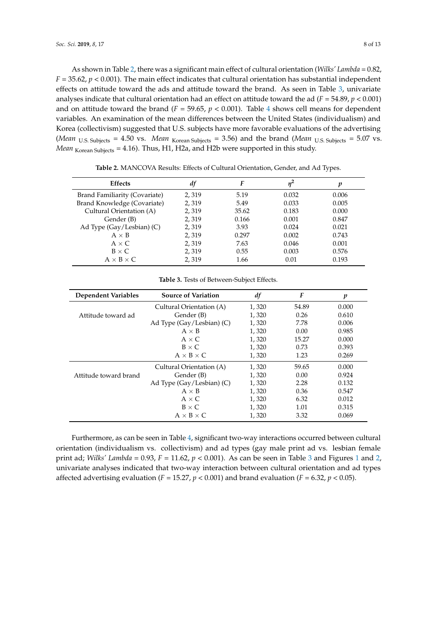As shown in Table [2,](#page-7-0) there was a significant main effect of cultural orientation (*Wilks' Lambda* = 0.82,  $F = 35.62$ ,  $p < 0.001$ ). The main effect indicates that cultural orientation has substantial independent effects on attitude toward the ads and attitude toward the brand. As seen in Table [3,](#page-7-1) univariate analyses indicate that cultural orientation had an effect on attitude toward the ad  $(F = 54.89, p < 0.001)$ and on attitude toward the brand ( $F = 59.65$ ,  $p < 0.001$ ). Table [4](#page-8-0) shows cell means for dependent variables. An examination of the mean differences between the United States (individualism) and Korea (collectivism) suggested that U.S. subjects have more favorable evaluations of the advertising (*Mean* U.S. Subjects = 4.50 vs. *Mean* Korean Subjects = 3.56) and the brand (*Mean* U.S. Subjects = 5.07 vs. *Mean* <sub>Korean</sub> Subjects = 4.16). Thus, H1, H2a, and H2b were supported in this study.

<span id="page-7-0"></span>

| <b>Effects</b>                | df    | F     |       | p     |
|-------------------------------|-------|-------|-------|-------|
| Brand Familiarity (Covariate) | 2,319 | 5.19  | 0.032 | 0.006 |
| Brand Knowledge (Covariate)   | 2,319 | 5.49  | 0.033 | 0.005 |
| Cultural Orientation (A)      | 2,319 | 35.62 | 0.183 | 0.000 |
| Gender (B)                    | 2,319 | 0.166 | 0.001 | 0.847 |
| Ad Type (Gay/Lesbian) (C)     | 2,319 | 3.93  | 0.024 | 0.021 |
| $A \times B$                  | 2,319 | 0.297 | 0.002 | 0.743 |
| $A \times C$                  | 2,319 | 7.63  | 0.046 | 0.001 |
| $B \times C$                  | 2,319 | 0.55  | 0.003 | 0.576 |
| $A \times B \times C$         | 2.319 | 1.66  | 0.01  | 0.193 |

**Table 2.** MANCOVA Results: Effects of Cultural Orientation, Gender, and Ad Types.

**Table 3.** Tests of Between-Subject Effects.

<span id="page-7-1"></span>

| <b>Dependent Variables</b> | <b>Source of Variation</b> | df    | F     | p     |
|----------------------------|----------------------------|-------|-------|-------|
|                            | Cultural Orientation (A)   | 1,320 | 54.89 | 0.000 |
| Attitude toward ad         | Gender (B)                 | 1,320 | 0.26  | 0.610 |
|                            | Ad Type (Gay/Lesbian) (C)  | 1,320 | 7.78  | 0.006 |
|                            | $A \times B$               | 1.320 | 0.00  | 0.985 |
|                            | $A \times C$               | 1,320 | 15.27 | 0.000 |
|                            | $B \times C$               | 1,320 | 0.73  | 0.393 |
|                            | $A \times B \times C$      | 1,320 | 1.23  | 0.269 |
|                            | Cultural Orientation (A)   | 1,320 | 59.65 | 0.000 |
| Attitude toward brand      | Gender (B)                 | 1,320 | 0.00  | 0.924 |
|                            | Ad Type (Gay/Lesbian) (C)  | 1,320 | 2.28  | 0.132 |
|                            | $A \times B$               | 1,320 | 0.36  | 0.547 |
|                            | $A \times C$               | 1,320 | 6.32  | 0.012 |
|                            | $B \times C$               | 1,320 | 1.01  | 0.315 |
|                            | $A \times B \times C$      | 1,320 | 3.32  | 0.069 |

Furthermore, as can be seen in Table [4,](#page-8-0) significant two-way interactions occurred between cultural orientation (individualism vs. collectivism) and ad types (gay male print ad vs. lesbian female print ad; *Wilks' Lambda* = 0.93, *F* = 11.62, *p* < 0.001). As can be seen in Table [3](#page-7-1) and Figures [1](#page-8-1) and [2,](#page-8-2) univariate analyses indicated that two-way interaction between cultural orientation and ad types affected advertising evaluation ( $F = 15.27$ ,  $p < 0.001$ ) and brand evaluation ( $F = 6.32$ ,  $p < 0.05$ ).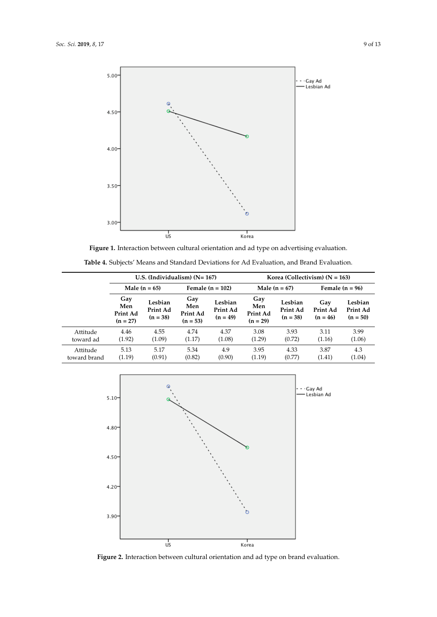<span id="page-8-1"></span>

**Figure 1.** Interaction between cultural orientation and ad type on advertising evaluation.

<span id="page-8-0"></span>

|                          | U.S. (Individualism) $(N=167)$       |                                   |                                      |                                   | Korea (Collectivism) $(N = 163)$     |                                   |                               |                                   |
|--------------------------|--------------------------------------|-----------------------------------|--------------------------------------|-----------------------------------|--------------------------------------|-----------------------------------|-------------------------------|-----------------------------------|
|                          | Male $(n = 65)$                      |                                   | Female $(n = 102)$                   |                                   | Male $(n = 67)$                      |                                   | Female $(n = 96)$             |                                   |
|                          | Gay<br>Men<br>Print Ad<br>$(n = 27)$ | Lesbian<br>Print Ad<br>$(n = 38)$ | Gay<br>Men<br>Print Ad<br>$(n = 53)$ | Lesbian<br>Print Ad<br>$(n = 49)$ | Gay<br>Men<br>Print Ad<br>$(n = 29)$ | Lesbian<br>Print Ad<br>$(n = 38)$ | Gay<br>Print Ad<br>$(n = 46)$ | Lesbian<br>Print Ad<br>$(n = 50)$ |
| Attitude<br>toward ad    | 4.46<br>(1.92)                       | 4.55<br>(1.09)                    | 4.74<br>(1.17)                       | 4.37<br>(1.08)                    | 3.08<br>(1.29)                       | 3.93<br>(0.72)                    | 3.11<br>(1.16)                | 3.99<br>(1.06)                    |
| Attitude<br>toward brand | 5.13<br>(1.19)                       | 5.17<br>(0.91)                    | 5.34<br>(0.82)                       | 4.9<br>(0.90)                     | 3.95<br>(1.19)                       | 4.33<br>(0.77)                    | 3.87<br>(1.41)                | 4.3<br>(1.04)                     |

**Table 4.** Subjects' Means and Standard Deviations for Ad Evaluation, and Brand Evaluation. **Table 4.** Subjects' Means and Standard Deviations for Ad Evaluation, and Brand Evaluation.

<span id="page-8-2"></span>

**Figure 2.** Interaction between cultural orientation and ad type on brand evaluation. **Figure 2.** Interaction between cultural orientation and ad type on brand evaluation.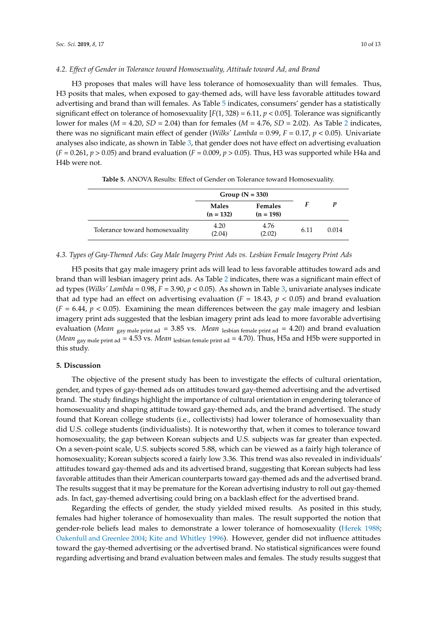#### *4.2. Effect of Gender in Tolerance toward Homosexuality, Attitude toward Ad, and Brand*

H3 proposes that males will have less tolerance of homosexuality than will females. Thus, H3 posits that males, when exposed to gay-themed ads, will have less favorable attitudes toward advertising and brand than will females. As Table [5](#page-9-0) indicates, consumers' gender has a statistically significant effect on tolerance of homosexuality  $[F(1, 328) = 6.11, p < 0.05]$ . Tolerance was significantly lower for males (*M* = 4.20, *SD* = 2.04) than for females (*M* = 4.76, *SD* = 2.02). As Table [2](#page-7-0) indicates, there was no significant main effect of gender (*Wilks' Lambda* =  $0.99$ ,  $F = 0.17$ ,  $p < 0.05$ ). Univariate analyses also indicate, as shown in Table [3,](#page-7-1) that gender does not have effect on advertising evaluation  $(F = 0.261, p > 0.05)$  and brand evaluation  $(F = 0.009, p > 0.05)$ . Thus, H3 was supported while H4a and H4b were not.

<span id="page-9-0"></span>

|                                | Group $(N = 330)$           |                               |      |       |
|--------------------------------|-----------------------------|-------------------------------|------|-------|
|                                | <b>Males</b><br>$(n = 132)$ | <b>Females</b><br>$(n = 198)$ |      | п     |
| Tolerance toward homosexuality | 4.20<br>(2.04)              | 4.76<br>(2.02)                | 6.11 | 0.014 |

**Table 5.** ANOVA Results: Effect of Gender on Tolerance toward Homosexuality.

#### *4.3. Types of Gay-Themed Ads: Gay Male Imagery Print Ads vs. Lesbian Female Imagery Print Ads*

H5 posits that gay male imagery print ads will lead to less favorable attitudes toward ads and brand than will lesbian imagery print ads. As Table [2](#page-7-0) indicates, there was a significant main effect of ad types (*Wilks' Lambda* = 0.98, *F* = 3.90, *p* < 0.05). As shown in Table [3,](#page-7-1) univariate analyses indicate that ad type had an effect on advertising evaluation ( $F = 18.43$ ,  $p < 0.05$ ) and brand evaluation  $(F = 6.44, p < 0.05)$ . Examining the mean differences between the gay male imagery and lesbian imagery print ads suggested that the lesbian imagery print ads lead to more favorable advertising evaluation (*Mean* <sub>gay male print ad = 3.85 vs. *Mean* lesbian female print ad = 4.20) and brand evaluation</sub> (*Mean* gay male print ad = 4.53 vs. *Mean* lesbian female print ad = 4.70). Thus, H5a and H5b were supported in this study.

## **5. Discussion**

The objective of the present study has been to investigate the effects of cultural orientation, gender, and types of gay-themed ads on attitudes toward gay-themed advertising and the advertised brand. The study findings highlight the importance of cultural orientation in engendering tolerance of homosexuality and shaping attitude toward gay-themed ads, and the brand advertised. The study found that Korean college students (i.e., collectivists) had lower tolerance of homosexuality than did U.S. college students (individualists). It is noteworthy that, when it comes to tolerance toward homosexuality, the gap between Korean subjects and U.S. subjects was far greater than expected. On a seven-point scale, U.S. subjects scored 5.88, which can be viewed as a fairly high tolerance of homosexuality; Korean subjects scored a fairly low 3.36. This trend was also revealed in individuals' attitudes toward gay-themed ads and its advertised brand, suggesting that Korean subjects had less favorable attitudes than their American counterparts toward gay-themed ads and the advertised brand. The results suggest that it may be premature for the Korean advertising industry to roll out gay-themed ads. In fact, gay-themed advertising could bring on a backlash effect for the advertised brand.

Regarding the effects of gender, the study yielded mixed results. As posited in this study, females had higher tolerance of homosexuality than males. The result supported the notion that gender-role beliefs lead males to demonstrate a lower tolerance of homosexuality [\(Herek](#page-11-20) [1988;](#page-11-20) [Oakenfull and Greenlee](#page-12-17) [2004;](#page-12-17) [Kite and Whitley](#page-11-10) [1996\)](#page-11-10). However, gender did not influence attitudes toward the gay-themed advertising or the advertised brand. No statistical significances were found regarding advertising and brand evaluation between males and females. The study results suggest that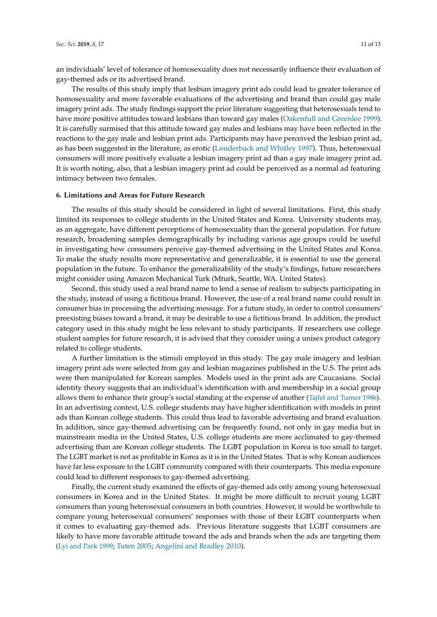an individuals' level of tolerance of homosexuality does not necessarily influence their evaluation of gay-themed ads or its advertised brand.

The results of this study imply that lesbian imagery print ads could lead to greater tolerance of homosexuality and more favorable evaluations of the advertising and brand than could gay male imagery print ads. The study findings support the prior literature suggesting that heterosexuals tend to have more positive attitudes toward lesbians than toward gay males [\(Oakenfull and Greenlee](#page-12-16) [1999\)](#page-12-16). It is carefully surmised that this attitude toward gay males and lesbians may have been reflected in the reactions to the gay male and lesbian print ads. Participants may have perceived the lesbian print ad, as has been suggested in the literature, as erotic [\(Louderback and Whitley](#page-12-18) [1997\)](#page-12-18). Thus, heterosexual consumers will more positively evaluate a lesbian imagery print ad than a gay male imagery print ad. It is worth noting, also, that a lesbian imagery print ad could be perceived as a normal ad featuring intimacy between two females.

### **6. Limitations and Areas for Future Research**

The results of this study should be considered in light of several limitations. First, this study limited its responses to college students in the United States and Korea. University students may, as an aggregate, have different perceptions of homosexuality than the general population. For future research, broadening samples demographically by including various age groups could be useful in investigating how consumers perceive gay-themed advertising in the United States and Korea. To make the study results more representative and generalizable, it is essential to use the general population in the future. To enhance the generalizability of the study's findings, future researchers might consider using Amazon Mechanical Turk (Mturk, Seattle, WA. United States).

Second, this study used a real brand name to lend a sense of realism to subjects participating in the study, instead of using a fictitious brand. However, the use of a real brand name could result in consumer bias in processing the advertising message. For a future study, in order to control consumers' preexisting biases toward a brand, it may be desirable to use a fictitious brand. In addition, the product category used in this study might be less relevant to study participants. If researchers use college student samples for future research, it is advised that they consider using a unisex product category related to college students.

A further limitation is the stimuli employed in this study. The gay male imagery and lesbian imagery print ads were selected from gay and lesbian magazines published in the U.S. The print ads were then manipulated for Korean samples. Models used in the print ads are Caucasians. Social identity theory suggests that an individual's identification with and membership in a social group allows them to enhance their group's social standing at the expense of another [\(Tajfel and Turner](#page-12-6) [1986\)](#page-12-6). In an advertising context, U.S. college students may have higher identification with models in print ads than Korean college students. This could thus lead to favorable advertising and brand evaluation. In addition, since gay-themed advertising can be frequently found, not only in gay media but in mainstream media in the United States, U.S. college students are more acclimated to gay-themed advertising than are Korean college students. The LGBT population in Korea is too small to target. The LGBT market is not as profitable in Korea as it is in the United States. That is why Korean audiences have far less exposure to the LGBT community compared with their counterparts. This media exposure could lead to different responses to gay-themed advertising.

Finally, the current study examined the effects of gay-themed ads only among young heterosexual consumers in Korea and in the United States. It might be more difficult to recruit young LGBT consumers than young heterosexual consumers in both countries. However, it would be worthwhile to compare young heterosexual consumers' responses with those of their LGBT counterparts when it comes to evaluating gay-themed ads. Previous literature suggests that LGBT consumers are likely to have more favorable attitude toward the ads and brands when the ads are targeting them [\(Lyi and Park](#page-12-4) [1999;](#page-12-4) [Tuten](#page-12-9) [2005;](#page-12-9) [Angelini and Bradley](#page-11-0) [2010\)](#page-11-0).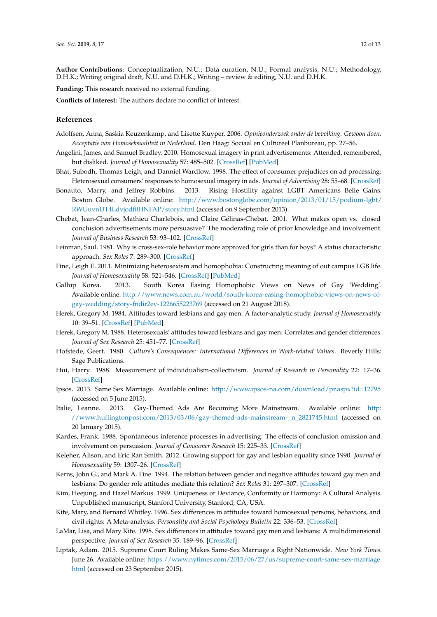**Author Contributions:** Conceptualization, N.U.; Data curation, N.U.; Formal analysis, N.U.; Methodology, D.H.K.; Writing original draft, N.U. and D.H.K.; Writing – review & editing, N.U. and D.H.K.

**Funding:** This research received no external funding.

**Conflicts of Interest:** The authors declare no conflict of interest.

#### **References**

- <span id="page-11-12"></span>Adolfsen, Anna, Saskia Keuzenkamp, and Lisette Kuyper. 2006. *Opinieonderzoek onder de bevolking. Gewoon doen. Acceptatie van Homoseksualiteit in Nederland*. Den Haag: Sociaal en Cultureel Planbureau, pp. 27–56.
- <span id="page-11-0"></span>Angelini, James, and Samuel Bradley. 2010. Homosexual imagery in print advertisements: Attended, remembered, but disliked. *Journal of Homosexuality* 57: 485–502. [\[CrossRef\]](http://dx.doi.org/10.1080/00918361003608665) [\[PubMed\]](http://www.ncbi.nlm.nih.gov/pubmed/20391007)
- <span id="page-11-5"></span>Bhat, Subodh, Thomas Leigh, and Danniel Wardlow. 1998. The effect of consumer prejudices on ad processing: Heterosexual consumers' responses to homosexual imagery in ads. *Journal of Advertising* 28: 55–68. [\[CrossRef\]](http://dx.doi.org/10.1080/00913367.1998.10673566)
- <span id="page-11-16"></span>Bonauto, Marry, and Jeffrey Robbins. 2013. Rising Hostility against LGBT Americans Belie Gains. Boston Globe. Available online: [http://www.bostonglobe.com/opinion/2013/01/15/podium-lgbt/](http://www.bostonglobe.com/opinion/2013/01/15/podium-lgbt/RWUuvnDT4Ldvjodf0HNFAP/story.html) [RWUuvnDT4Ldvjodf0HNFAP/story.html](http://www.bostonglobe.com/opinion/2013/01/15/podium-lgbt/RWUuvnDT4Ldvjodf0HNFAP/story.html) (accessed on 9 September 2013).
- <span id="page-11-18"></span>Chebat, Jean-Charles, Mathieu Charlebois, and Claire Gélinas-Chebat. 2001. What makes open vs. closed conclusion advertisements more persuasive? The moderating role of prior knowledge and involvement. *Journal of Business Research* 53: 93–102. [\[CrossRef\]](http://dx.doi.org/10.1016/S0148-2963(99)00078-8)
- <span id="page-11-11"></span>Feinman, Saul. 1981. Why is cross-sex-role behavior more approved for girls than for boys? A status characteristic approach. *Sex Roles* 7: 289–300. [\[CrossRef\]](http://dx.doi.org/10.1007/BF00287543)
- <span id="page-11-15"></span>Fine, Leigh E. 2011. Minimizing heterosexism and homophobia: Constructing meaning of out campus LGB life. *Journal of Homosexuality* 58: 521–546. [\[CrossRef\]](http://dx.doi.org/10.1080/00918369.2011.555673) [\[PubMed\]](http://www.ncbi.nlm.nih.gov/pubmed/21442544)
- <span id="page-11-3"></span>Gallup Korea. 2013. South Korea Easing Homophobic Views on News of Gay 'Wedding'. Available online: [http://www.news.com.au/world/south-korea-easing-homophobic-views-on-news-of](http://www.news.com.au/world/south-korea-easing-homophobic-views-on-news-of-gay-wedding/story-fndir2ev-1226655223769)[gay-wedding/story-fndir2ev-1226655223769](http://www.news.com.au/world/south-korea-easing-homophobic-views-on-news-of-gay-wedding/story-fndir2ev-1226655223769) (accessed on 21 August 2018).
- <span id="page-11-9"></span>Herek, Gregory M. 1984. Attitudes toward lesbians and gay men: A factor-analytic study. *Journal of Homosexuality* 10: 39–51. [\[CrossRef\]](http://dx.doi.org/10.1300/J082v10n01_03) [\[PubMed\]](http://www.ncbi.nlm.nih.gov/pubmed/6520388)
- <span id="page-11-20"></span>Herek, Gregory M. 1988. Heterosexuals' attitudes toward lesbians and gay men: Correlates and gender differences. *Journal of Sex Research* 25: 451–77. [\[CrossRef\]](http://dx.doi.org/10.1080/00224498809551476)
- <span id="page-11-6"></span>Hofstede, Geert. 1980. *Culture's Consequences: International Differences in Work-related Values*. Beverly Hills: Sage Publications.
- <span id="page-11-17"></span>Hui, Harry. 1988. Measurement of individualism-collectivism. *Journal of Research in Personality* 22: 17–36. [\[CrossRef\]](http://dx.doi.org/10.1016/0092-6566(88)90022-0)
- <span id="page-11-4"></span>Ipsos. 2013. Same Sex Marriage. Available online: <http://www.ipsos-na.com/download/pr.aspx?id=12795> (accessed on 5 June 2015).
- <span id="page-11-14"></span>Italie, Leanne. 2013. Gay-Themed Ads Are Becoming More Mainstream. Available online: [http:](http://www.huffingtonpost.com/2013/03/06/gay-themed-ads-mainstream-_n_2821745.html) [//www.huffingtonpost.com/2013/03/06/gay-themed-ads-mainstream-\\_n\\_2821745.html](http://www.huffingtonpost.com/2013/03/06/gay-themed-ads-mainstream-_n_2821745.html) (accessed on 20 January 2015).
- <span id="page-11-19"></span>Kardes, Frank. 1988. Spontaneous inference processes in advertising: The effects of conclusion omission and involvement on persuasion. *Journal of Consumer Research* 15: 225–33. [\[CrossRef\]](http://dx.doi.org/10.1086/209159)
- <span id="page-11-1"></span>Keleher, Alison, and Eric Ran Smith. 2012. Growing support for gay and lesbian equality since 1990. *Journal of Homosexuality* 59: 1307–26. [\[CrossRef\]](http://dx.doi.org/10.1080/00918369.2012.720540)
- <span id="page-11-13"></span>Kerns, John G., and Mark A. Fine. 1994. The relation between gender and negative attitudes toward gay men and lesbians: Do gender role attitudes mediate this relation? *Sex Roles* 31: 297–307. [\[CrossRef\]](http://dx.doi.org/10.1007/BF01544590)
- <span id="page-11-7"></span>Kim, Heejung, and Hazel Markus. 1999. Uniqueness or Deviance, Conformity or Harmony: A Cultural Analysis. Unpublished manuscript, Stanford University, Stanford, CA, USA.
- <span id="page-11-10"></span>Kite, Mary, and Bernard Whitley. 1996. Sex differences in attitudes toward homosexual persons, behaviors, and civil rights: A Meta-analysis. *Personality and Social Psychology Bulletin* 22: 336–53. [\[CrossRef\]](http://dx.doi.org/10.1177/0146167296224002)
- <span id="page-11-8"></span>LaMar, Lisa, and Mary Kite. 1998. Sex differences in attitudes toward gay men and lesbians: A multidimensional perspective. *Journal of Sex Research* 35: 189–96. [\[CrossRef\]](http://dx.doi.org/10.1080/00224499809551932)
- <span id="page-11-2"></span>Liptak, Adam. 2015. Supreme Court Ruling Makes Same-Sex Marriage a Right Nationwide. *New York Times*. June 26. Available online: [https://www.nytimes.com/2015/06/27/us/supreme-court-same-sex-marriage.](https://www.nytimes.com/2015/06/27/us/supreme-court-same-sex-marriage.html) [html](https://www.nytimes.com/2015/06/27/us/supreme-court-same-sex-marriage.html) (accessed on 23 September 2015).